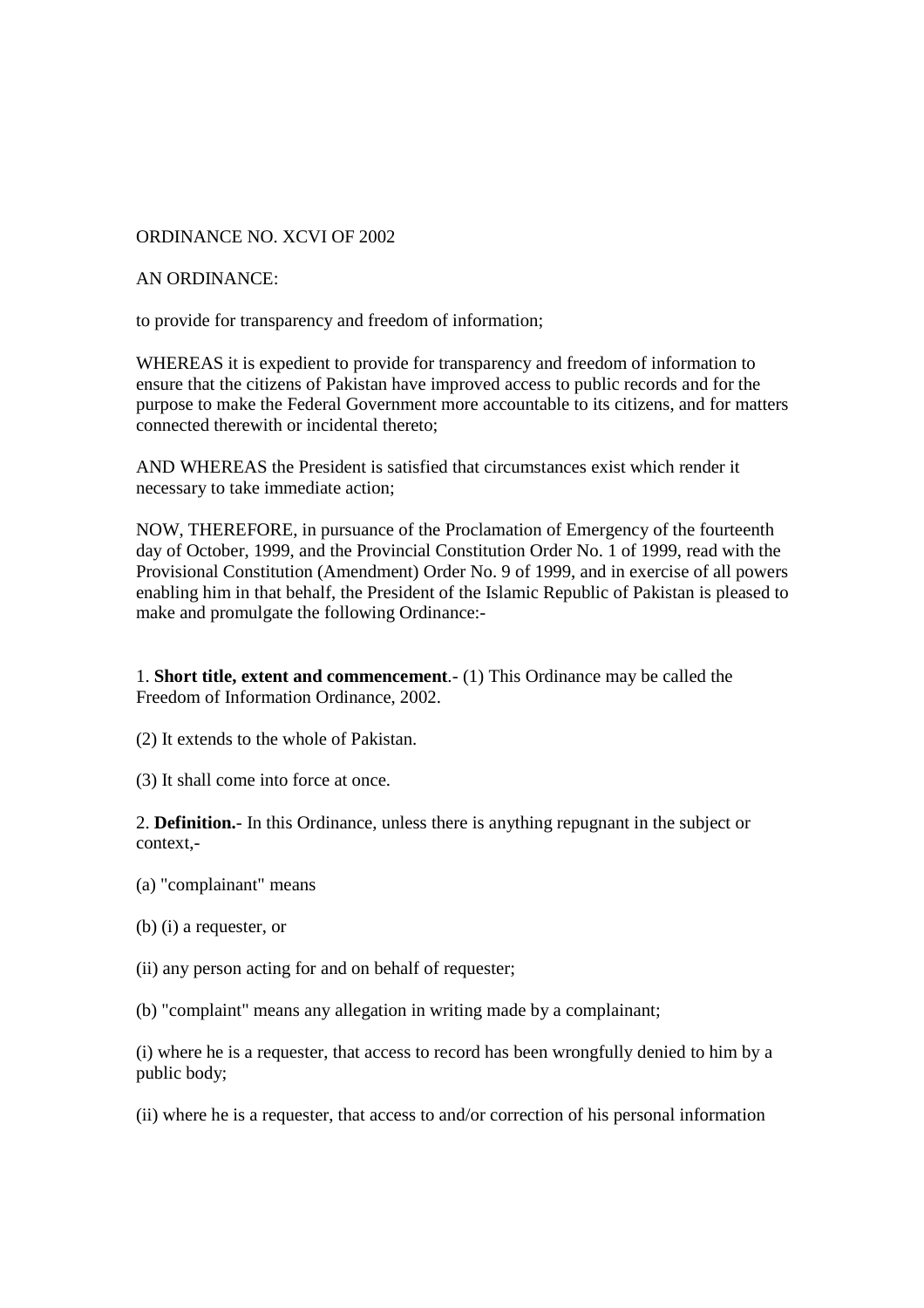## ORDINANCE NO. XCVI OF 2002

## AN ORDINANCE:

to provide for transparency and freedom of information;

WHEREAS it is expedient to provide for transparency and freedom of information to ensure that the citizens of Pakistan have improved access to public records and for the purpose to make the Federal Government more accountable to its citizens, and for matters connected therewith or incidental thereto;

AND WHEREAS the President is satisfied that circumstances exist which render it necessary to take immediate action;

NOW, THEREFORE, in pursuance of the Proclamation of Emergency of the fourteenth day of October, 1999, and the Provincial Constitution Order No. 1 of 1999, read with the Provisional Constitution (Amendment) Order No. 9 of 1999, and in exercise of all powers enabling him in that behalf, the President of the Islamic Republic of Pakistan is pleased to make and promulgate the following Ordinance:-

1. **Short title, extent and commencement**.- (1) This Ordinance may be called the Freedom of Information Ordinance, 2002.

(2) It extends to the whole of Pakistan.

(3) It shall come into force at once.

2. **Definition.**- In this Ordinance, unless there is anything repugnant in the subject or context,-

- (a) "complainant" means
- (b) (i) a requester, or
- (ii) any person acting for and on behalf of requester;

(b) "complaint" means any allegation in writing made by a complainant;

(i) where he is a requester, that access to record has been wrongfully denied to him by a public body;

(ii) where he is a requester, that access to and/or correction of his personal information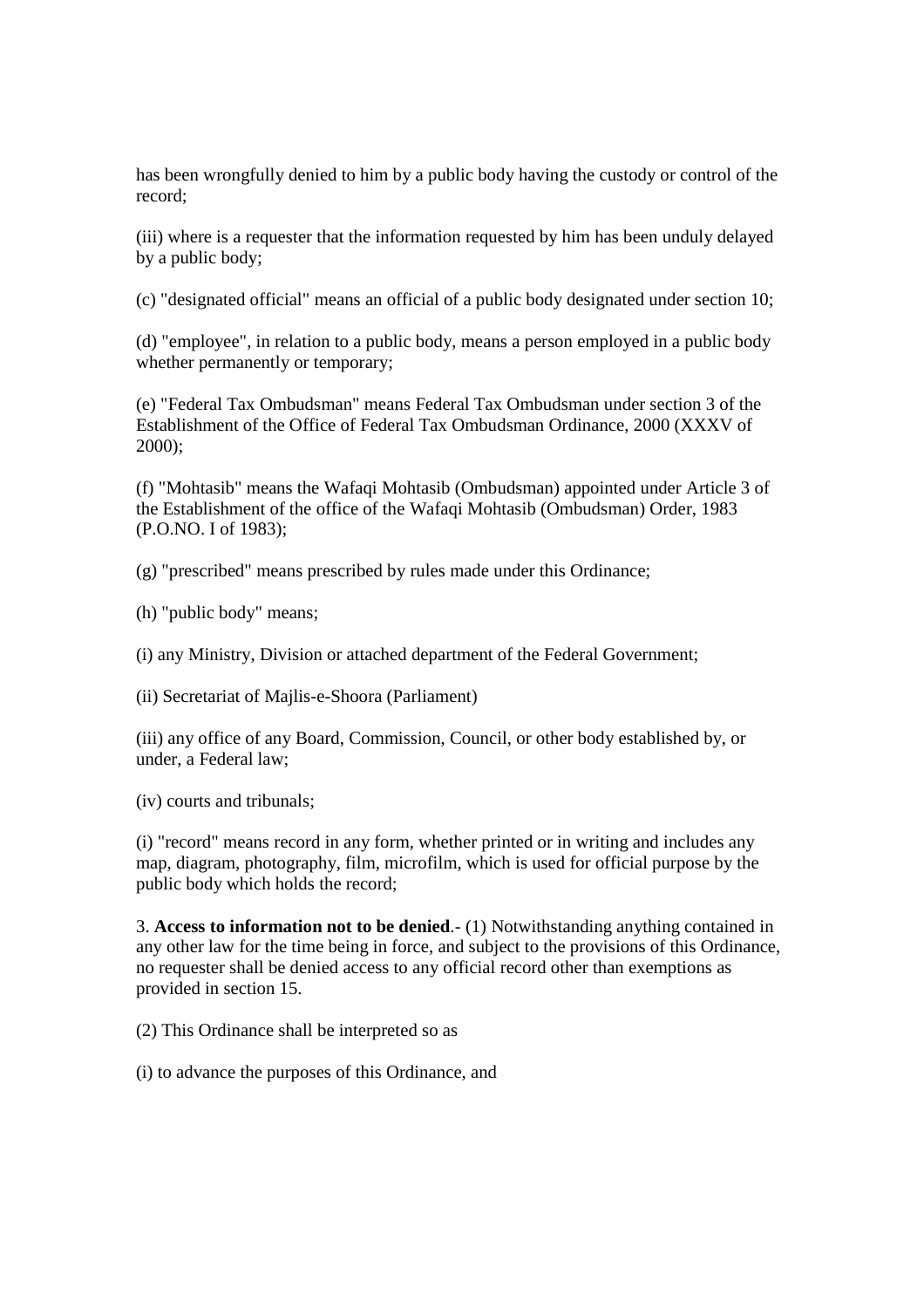has been wrongfully denied to him by a public body having the custody or control of the record;

(iii) where is a requester that the information requested by him has been unduly delayed by a public body;

(c) "designated official" means an official of a public body designated under section 10;

(d) "employee", in relation to a public body, means a person employed in a public body whether permanently or temporary;

(e) "Federal Tax Ombudsman" means Federal Tax Ombudsman under section 3 of the Establishment of the Office of Federal Tax Ombudsman Ordinance, 2000 (XXXV of 2000);

(f) "Mohtasib" means the Wafaqi Mohtasib (Ombudsman) appointed under Article 3 of the Establishment of the office of the Wafaqi Mohtasib (Ombudsman) Order, 1983 (P.O.NO. I of 1983);

(g) "prescribed" means prescribed by rules made under this Ordinance;

(h) "public body" means;

(i) any Ministry, Division or attached department of the Federal Government;

(ii) Secretariat of Majlis-e-Shoora (Parliament)

(iii) any office of any Board, Commission, Council, or other body established by, or under, a Federal law;

(iv) courts and tribunals;

(i) "record" means record in any form, whether printed or in writing and includes any map, diagram, photography, film, microfilm, which is used for official purpose by the public body which holds the record;

3. **Access to information not to be denied**.- (1) Notwithstanding anything contained in any other law for the time being in force, and subject to the provisions of this Ordinance, no requester shall be denied access to any official record other than exemptions as provided in section 15.

(2) This Ordinance shall be interpreted so as

(i) to advance the purposes of this Ordinance, and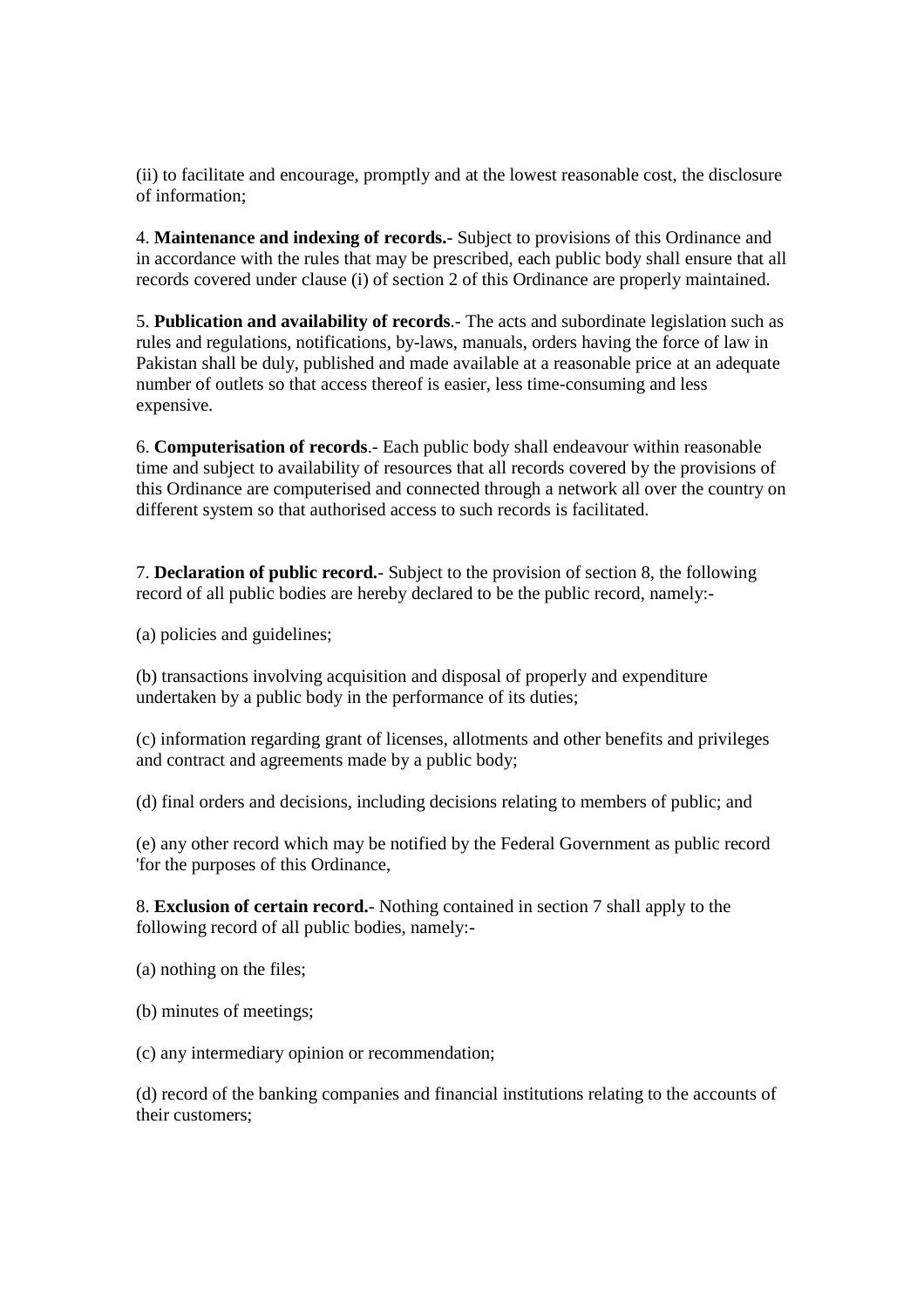(ii) to facilitate and encourage, promptly and at the lowest reasonable cost, the disclosure of information;

4. **Maintenance and indexing of records.**- Subject to provisions of this Ordinance and in accordance with the rules that may be prescribed, each public body shall ensure that all records covered under clause (i) of section 2 of this Ordinance are properly maintained.

5. **Publication and availability of records**.- The acts and subordinate legislation such as rules and regulations, notifications, by-laws, manuals, orders having the force of law in Pakistan shall be duly, published and made available at a reasonable price at an adequate number of outlets so that access thereof is easier, less time-consuming and less expensive.

6. **Computerisation of records**.- Each public body shall endeavour within reasonable time and subject to availability of resources that all records covered by the provisions of this Ordinance are computerised and connected through a network all over the country on different system so that authorised access to such records is facilitated.

7. **Declaration of public record.**- Subject to the provision of section 8, the following record of all public bodies are hereby declared to be the public record, namely:-

(a) policies and guidelines;

(b) transactions involving acquisition and disposal of properly and expenditure undertaken by a public body in the performance of its duties;

(c) information regarding grant of licenses, allotments and other benefits and privileges and contract and agreements made by a public body;

(d) final orders and decisions, including decisions relating to members of public; and

(e) any other record which may be notified by the Federal Government as public record 'for the purposes of this Ordinance,

8. **Exclusion of certain record.**- Nothing contained in section 7 shall apply to the following record of all public bodies, namely:-

(a) nothing on the files;

(b) minutes of meetings;

(c) any intermediary opinion or recommendation;

(d) record of the banking companies and financial institutions relating to the accounts of their customers;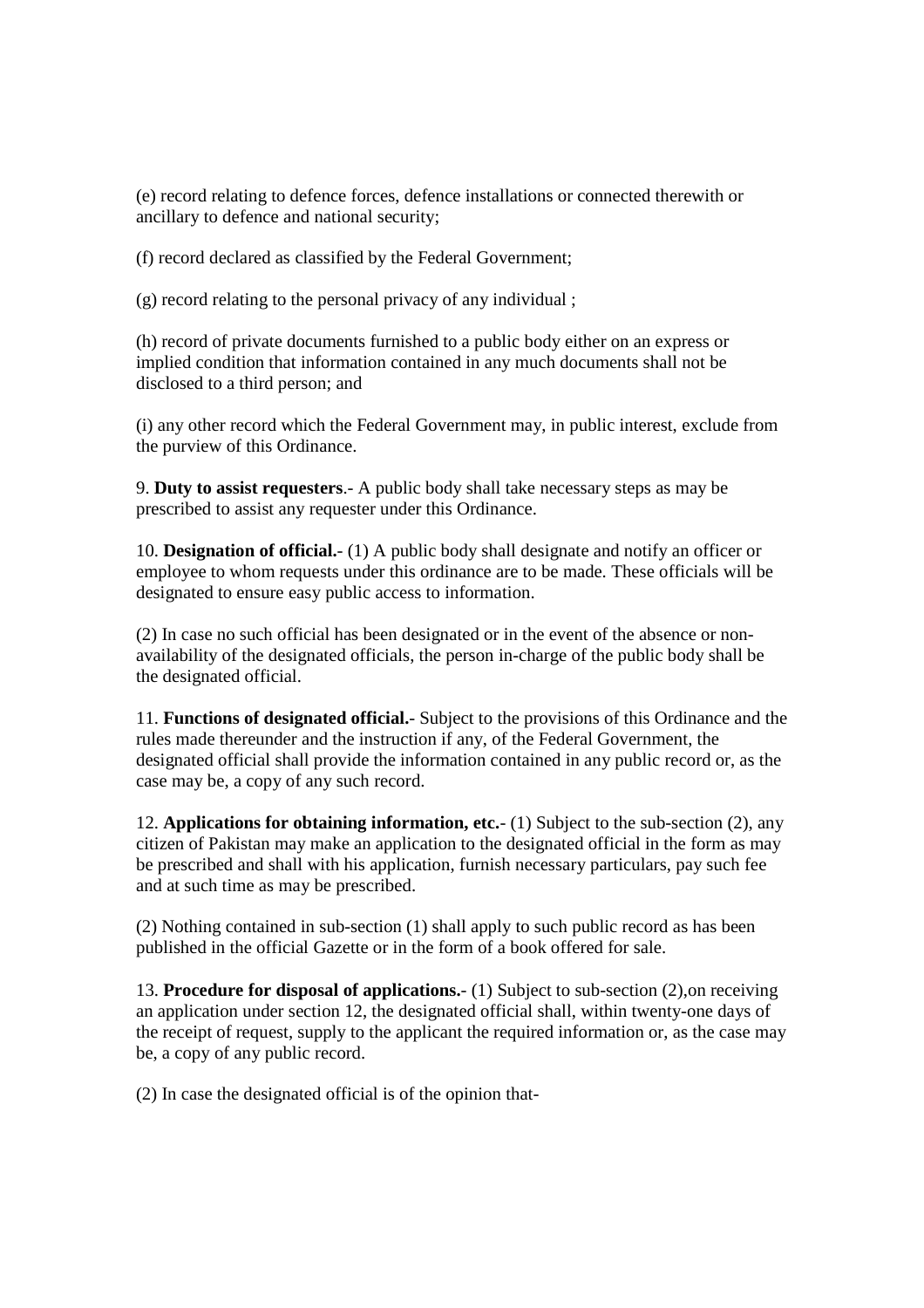(e) record relating to defence forces, defence installations or connected therewith or ancillary to defence and national security;

(f) record declared as classified by the Federal Government;

(g) record relating to the personal privacy of any individual ;

(h) record of private documents furnished to a public body either on an express or implied condition that information contained in any much documents shall not be disclosed to a third person; and

(i) any other record which the Federal Government may, in public interest, exclude from the purview of this Ordinance.

9. **Duty to assist requesters**.- A public body shall take necessary steps as may be prescribed to assist any requester under this Ordinance.

10. **Designation of official.**- (1) A public body shall designate and notify an officer or employee to whom requests under this ordinance are to be made. These officials will be designated to ensure easy public access to information.

(2) In case no such official has been designated or in the event of the absence or nonavailability of the designated officials, the person in-charge of the public body shall be the designated official.

11. **Functions of designated official.**- Subject to the provisions of this Ordinance and the rules made thereunder and the instruction if any, of the Federal Government, the designated official shall provide the information contained in any public record or, as the case may be, a copy of any such record.

12. **Applications for obtaining information, etc.**- (1) Subject to the sub-section (2), any citizen of Pakistan may make an application to the designated official in the form as may be prescribed and shall with his application, furnish necessary particulars, pay such fee and at such time as may be prescribed.

(2) Nothing contained in sub-section (1) shall apply to such public record as has been published in the official Gazette or in the form of a book offered for sale.

13. **Procedure for disposal of applications.**- (1) Subject to sub-section (2),on receiving an application under section 12, the designated official shall, within twenty-one days of the receipt of request, supply to the applicant the required information or, as the case may be, a copy of any public record.

(2) In case the designated official is of the opinion that-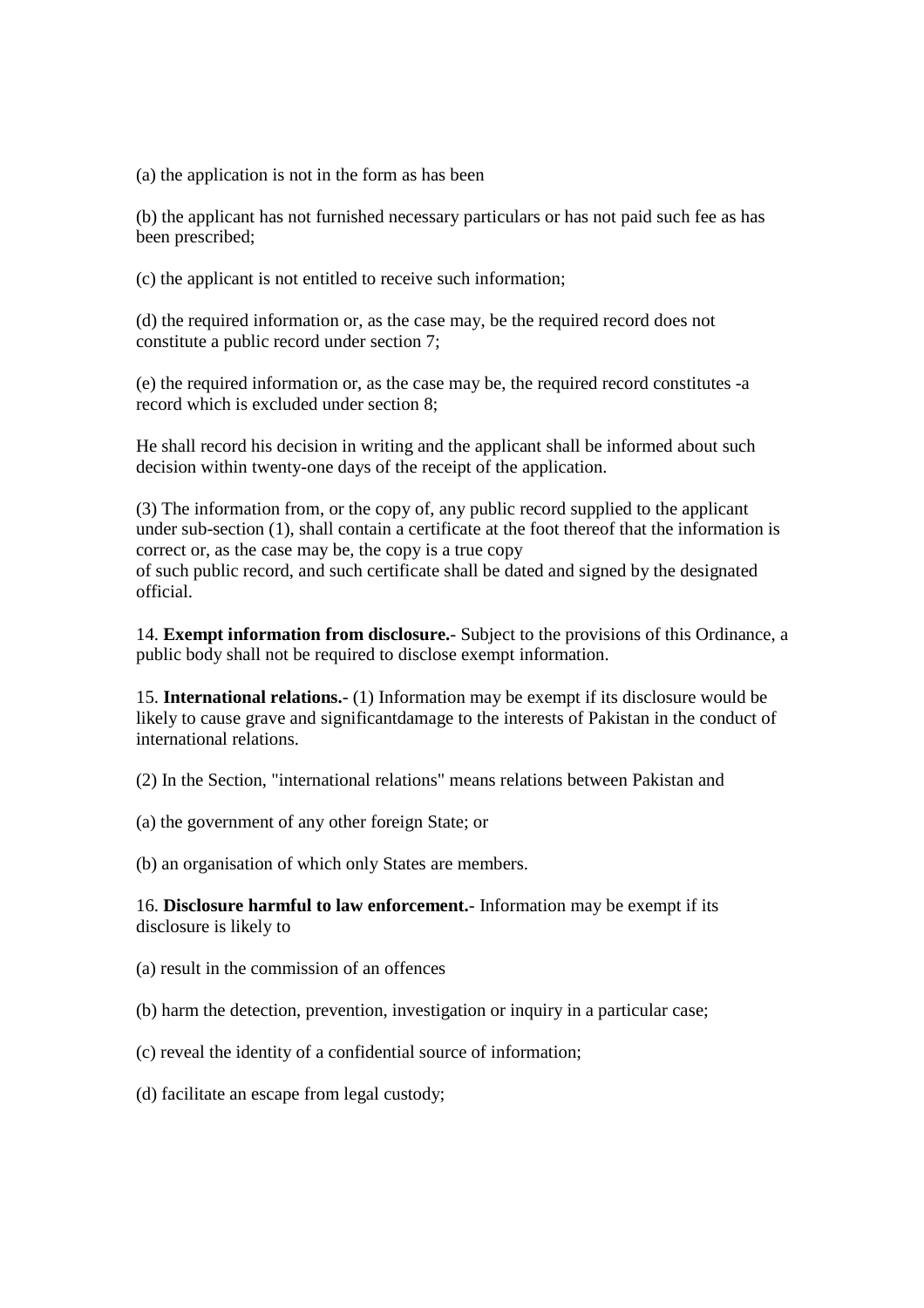(a) the application is not in the form as has been

(b) the applicant has not furnished necessary particulars or has not paid such fee as has been prescribed;

(c) the applicant is not entitled to receive such information;

(d) the required information or, as the case may, be the required record does not constitute a public record under section 7;

(e) the required information or, as the case may be, the required record constitutes -a record which is excluded under section 8;

He shall record his decision in writing and the applicant shall be informed about such decision within twenty-one days of the receipt of the application.

(3) The information from, or the copy of, any public record supplied to the applicant under sub-section (1), shall contain a certificate at the foot thereof that the information is correct or, as the case may be, the copy is a true copy of such public record, and such certificate shall be dated and signed by the designated official.

14. **Exempt information from disclosure.**- Subject to the provisions of this Ordinance, a public body shall not be required to disclose exempt information.

15. **International relations.**- (1) Information may be exempt if its disclosure would be likely to cause grave and significantdamage to the interests of Pakistan in the conduct of international relations.

(2) In the Section, "international relations" means relations between Pakistan and

(a) the government of any other foreign State; or

(b) an organisation of which only States are members.

16. **Disclosure harmful to law enforcement.**- Information may be exempt if its disclosure is likely to

(a) result in the commission of an offences

(b) harm the detection, prevention, investigation or inquiry in a particular case;

- (c) reveal the identity of a confidential source of information;
- (d) facilitate an escape from legal custody;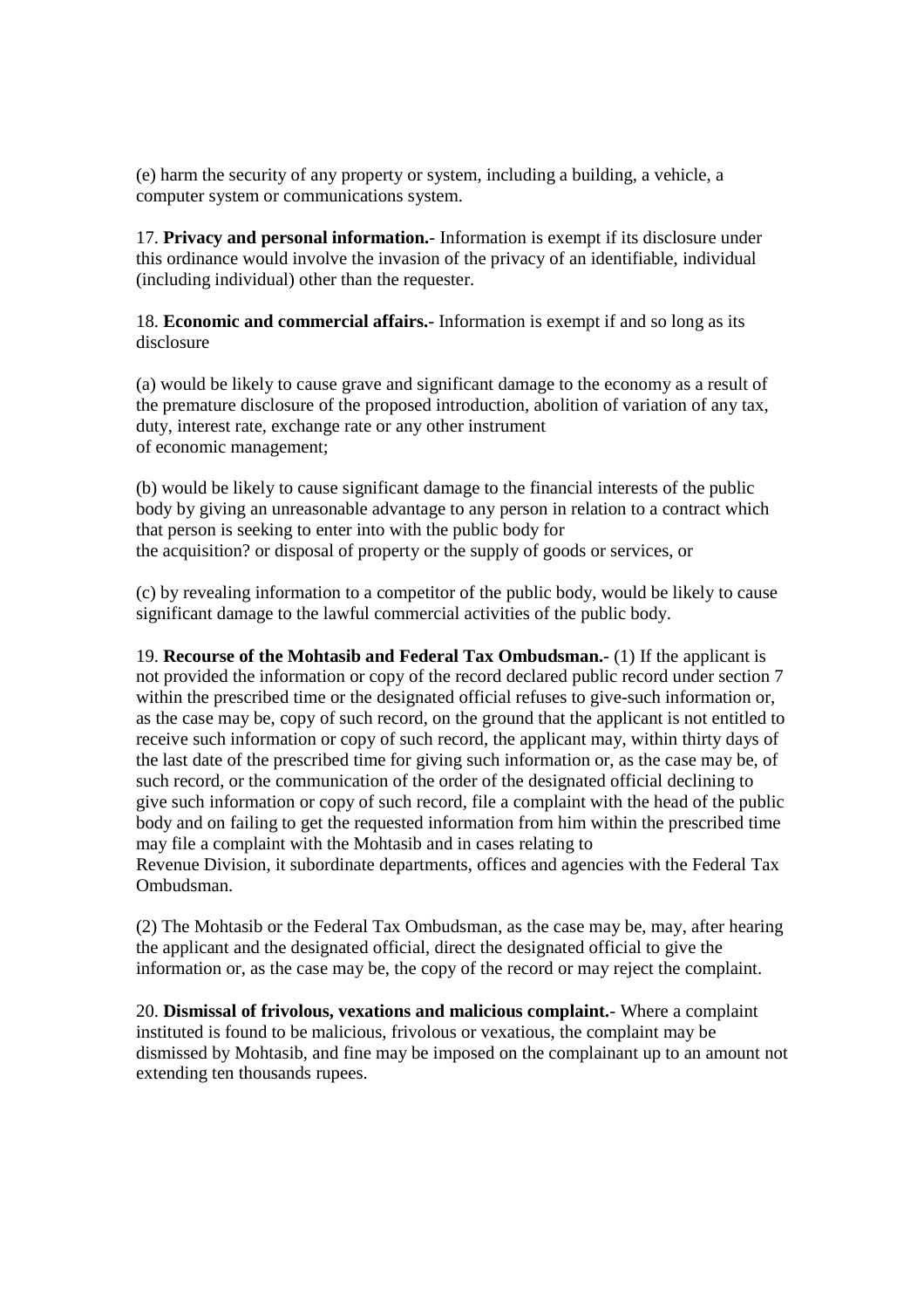(e) harm the security of any property or system, including a building, a vehicle, a computer system or communications system.

17. **Privacy and personal information.**- Information is exempt if its disclosure under this ordinance would involve the invasion of the privacy of an identifiable, individual (including individual) other than the requester.

18. **Economic and commercial affairs.**- Information is exempt if and so long as its disclosure

(a) would be likely to cause grave and significant damage to the economy as a result of the premature disclosure of the proposed introduction, abolition of variation of any tax, duty, interest rate, exchange rate or any other instrument of economic management;

(b) would be likely to cause significant damage to the financial interests of the public body by giving an unreasonable advantage to any person in relation to a contract which that person is seeking to enter into with the public body for the acquisition? or disposal of property or the supply of goods or services, or

(c) by revealing information to a competitor of the public body, would be likely to cause significant damage to the lawful commercial activities of the public body.

19. **Recourse of the Mohtasib and Federal Tax Ombudsman.**- (1) If the applicant is not provided the information or copy of the record declared public record under section 7 within the prescribed time or the designated official refuses to give-such information or, as the case may be, copy of such record, on the ground that the applicant is not entitled to receive such information or copy of such record, the applicant may, within thirty days of the last date of the prescribed time for giving such information or, as the case may be, of such record, or the communication of the order of the designated official declining to give such information or copy of such record, file a complaint with the head of the public body and on failing to get the requested information from him within the prescribed time may file a complaint with the Mohtasib and in cases relating to Revenue Division, it subordinate departments, offices and agencies with the Federal Tax Ombudsman.

(2) The Mohtasib or the Federal Tax Ombudsman, as the case may be, may, after hearing the applicant and the designated official, direct the designated official to give the information or, as the case may be, the copy of the record or may reject the complaint.

20. **Dismissal of frivolous, vexations and malicious complaint.**- Where a complaint instituted is found to be malicious, frivolous or vexatious, the complaint may be dismissed by Mohtasib, and fine may be imposed on the complainant up to an amount not extending ten thousands rupees.